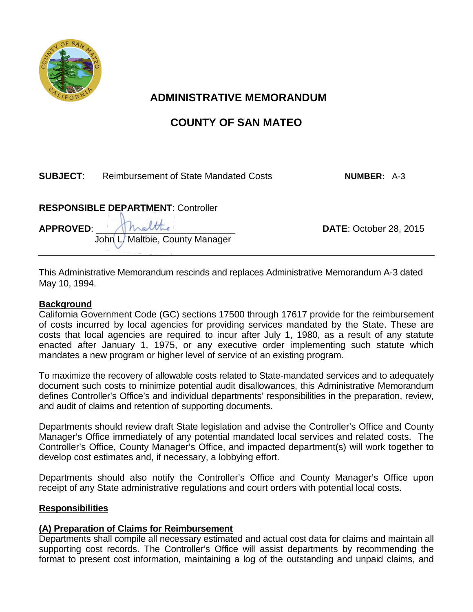

# **ADMINISTRATIVE MEMORANDUM**

# **COUNTY OF SAN MATEO**

## **SUBJECT**: Reimbursement of State Mandated Costs **NUMBER:** A-3

## **RESPONSIBLE DEPARTMENT**: Controller

John L. Maltbie, County Manager

**APPROVED**: \_\_\_\_\_\_\_\_\_\_\_\_\_\_\_\_\_\_\_\_\_\_\_\_\_\_\_ **DATE**: October 28, 2015

This Administrative Memorandum rescinds and replaces Administrative Memorandum A-3 dated May 10, 1994.

#### **Background**

California Government Code (GC) sections 17500 through 17617 provide for the reimbursement of costs incurred by local agencies for providing services mandated by the State. These are costs that local agencies are required to incur after July 1, 1980, as a result of any statute enacted after January 1, 1975, or any executive order implementing such statute which mandates a new program or higher level of service of an existing program.

To maximize the recovery of allowable costs related to State-mandated services and to adequately document such costs to minimize potential audit disallowances, this Administrative Memorandum defines Controller's Office's and individual departments' responsibilities in the preparation, review, and audit of claims and retention of supporting documents.

Departments should review draft State legislation and advise the Controller's Office and County Manager's Office immediately of any potential mandated local services and related costs. The Controller's Office, County Manager's Office, and impacted department(s) will work together to develop cost estimates and, if necessary, a lobbying effort.

Departments should also notify the Controller's Office and County Manager's Office upon receipt of any State administrative regulations and court orders with potential local costs.

#### **Responsibilities**

### **(A) Preparation of Claims for Reimbursement**

Departments shall compile all necessary estimated and actual cost data for claims and maintain all supporting cost records. The Controller's Office will assist departments by recommending the format to present cost information, maintaining a log of the outstanding and unpaid claims, and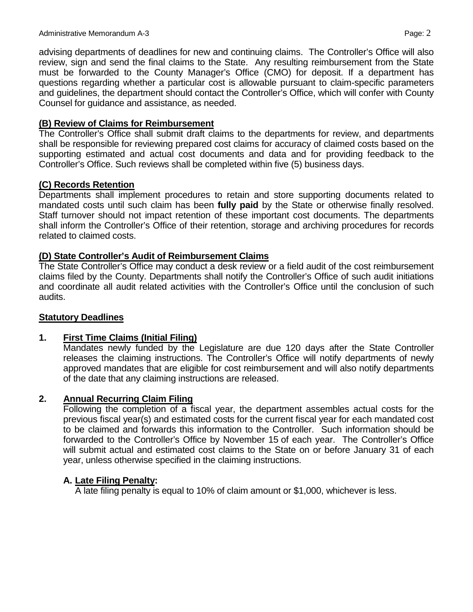advising departments of deadlines for new and continuing claims. The Controller's Office will also review, sign and send the final claims to the State. Any resulting reimbursement from the State must be forwarded to the County Manager's Office (CMO) for deposit. If a department has questions regarding whether a particular cost is allowable pursuant to claim-specific parameters and guidelines, the department should contact the Controller's Office, which will confer with County Counsel for guidance and assistance, as needed.

#### **(B) Review of Claims for Reimbursement**

The Controller's Office shall submit draft claims to the departments for review, and departments shall be responsible for reviewing prepared cost claims for accuracy of claimed costs based on the supporting estimated and actual cost documents and data and for providing feedback to the Controller's Office. Such reviews shall be completed within five (5) business days.

### **(C) Records Retention**

Departments shall implement procedures to retain and store supporting documents related to mandated costs until such claim has been **fully paid** by the State or otherwise finally resolved. Staff turnover should not impact retention of these important cost documents. The departments shall inform the Controller's Office of their retention, storage and archiving procedures for records related to claimed costs.

#### **(D) State Controller's Audit of Reimbursement Claims**

The State Controller's Office may conduct a desk review or a field audit of the cost reimbursement claims filed by the County. Departments shall notify the Controller's Office of such audit initiations and coordinate all audit related activities with the Controller's Office until the conclusion of such audits.

#### **Statutory Deadlines**

### **1. First Time Claims (Initial Filing)**

Mandates newly funded by the Legislature are due 120 days after the State Controller releases the claiming instructions. The Controller's Office will notify departments of newly approved mandates that are eligible for cost reimbursement and will also notify departments of the date that any claiming instructions are released.

#### **2. Annual Recurring Claim Filing**

Following the completion of a fiscal year, the department assembles actual costs for the previous fiscal year(s) and estimated costs for the current fiscal year for each mandated cost to be claimed and forwards this information to the Controller. Such information should be forwarded to the Controller's Office by November 15 of each year. The Controller's Office will submit actual and estimated cost claims to the State on or before January 31 of each year, unless otherwise specified in the claiming instructions.

#### **A. Late Filing Penalty:**

A late filing penalty is equal to 10% of claim amount or \$1,000, whichever is less.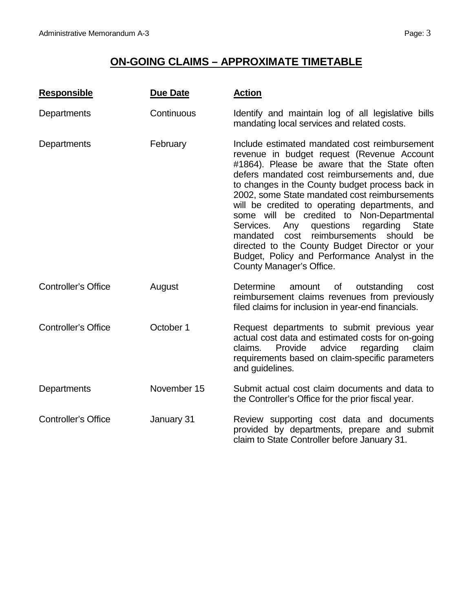# **ON-GOING CLAIMS – APPROXIMATE TIMETABLE**

| <b>Responsible</b>         | <b>Due Date</b> | <b>Action</b>                                                                                                                                                                                                                                                                                                                                                                                                                                                                                                                                                                                                                                     |
|----------------------------|-----------------|---------------------------------------------------------------------------------------------------------------------------------------------------------------------------------------------------------------------------------------------------------------------------------------------------------------------------------------------------------------------------------------------------------------------------------------------------------------------------------------------------------------------------------------------------------------------------------------------------------------------------------------------------|
| Departments                | Continuous      | Identify and maintain log of all legislative bills<br>mandating local services and related costs.                                                                                                                                                                                                                                                                                                                                                                                                                                                                                                                                                 |
| Departments                | February        | Include estimated mandated cost reimbursement<br>revenue in budget request (Revenue Account<br>#1864). Please be aware that the State often<br>defers mandated cost reimbursements and, due<br>to changes in the County budget process back in<br>2002, some State mandated cost reimbursements<br>will be credited to operating departments, and<br>some will be credited to Non-Departmental<br>questions<br>regarding<br><b>State</b><br>Services.<br>Any<br>reimbursements<br>mandated<br>cost<br>should<br>be<br>directed to the County Budget Director or your<br>Budget, Policy and Performance Analyst in the<br>County Manager's Office. |
| <b>Controller's Office</b> | August          | <b>Determine</b><br>amount<br>of<br>outstanding<br>cost<br>reimbursement claims revenues from previously<br>filed claims for inclusion in year-end financials.                                                                                                                                                                                                                                                                                                                                                                                                                                                                                    |
| <b>Controller's Office</b> | October 1       | Request departments to submit previous year<br>actual cost data and estimated costs for on-going<br>advice<br>regarding<br>claim<br>claims.<br>Provide<br>requirements based on claim-specific parameters<br>and guidelines.                                                                                                                                                                                                                                                                                                                                                                                                                      |
| Departments                | November 15     | Submit actual cost claim documents and data to<br>the Controller's Office for the prior fiscal year.                                                                                                                                                                                                                                                                                                                                                                                                                                                                                                                                              |
| <b>Controller's Office</b> | January 31      | Review supporting cost data and documents<br>provided by departments, prepare and submit<br>claim to State Controller before January 31.                                                                                                                                                                                                                                                                                                                                                                                                                                                                                                          |